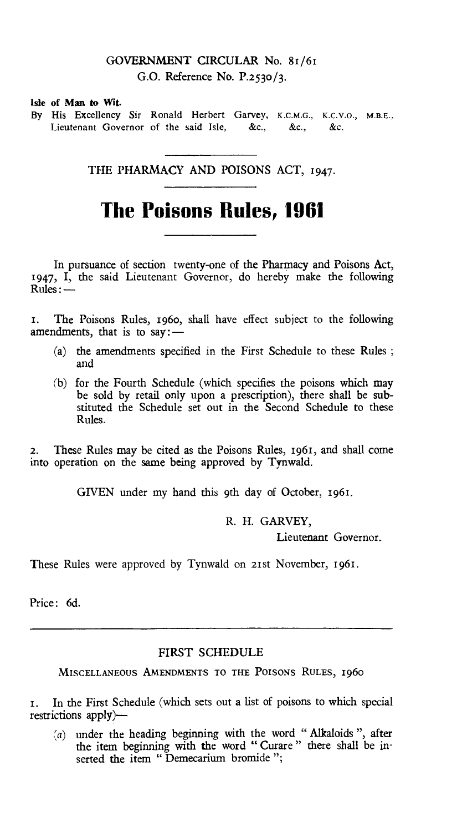# GOVERNMENT CIRCULAR No. 81/61 G.O. Reference No. P.2530/3.

#### Isle of Man to Wit.

By His Excellency Sir Ronald Herbert Garvey, K.C.M.G., K.C.V.O., M.B.E., Lieutenant Governor of the said Isle, &c., &c., &c.

THE PHARMACY AND POISONS ACT, 1947.

# **The Poisons Rules, 1961**

In pursuance of section twenty-one of the Pharmacy and Poisons Act, 1947, I, the said Lieutenant Governor, do hereby make the following Rules:—

t. The Poisons Rules, 1960, shall have effect subject to the following amendments, that is to say: $-$ 

- (a) the amendments specified in the First Schedule to these Rules ; and
- (b) for the Fourth Schedule (which specifies the poisons which may be sold by retail only upon a prescription), there shall be substituted the Schedule set out in the Second Schedule to these Rules.

2. These Rules may be cited as the Poisons Rules, 1961, and shall come into operation on the same being approved by Tynwald.

GIVEN under my hand this 9th day of October, 1961.

R. H. GARVEY,

Lieutenant Governor.

These Rules were approved by Tynwald on 21st November, 1961.

Price: 6d.

## FIRST SCHEDULE

MISCELLANEOUS AMENDMENTS TO THE POISONS RULES, 1960

1. In the First Schedule (which sets out a list of poisons to which special restrictions apply) *—* 

*(a)* under the heading beginning with the word " Alkaloids ", after the item beginning with the word " Curare " there shall be inserted the item " Demecarium bromide ";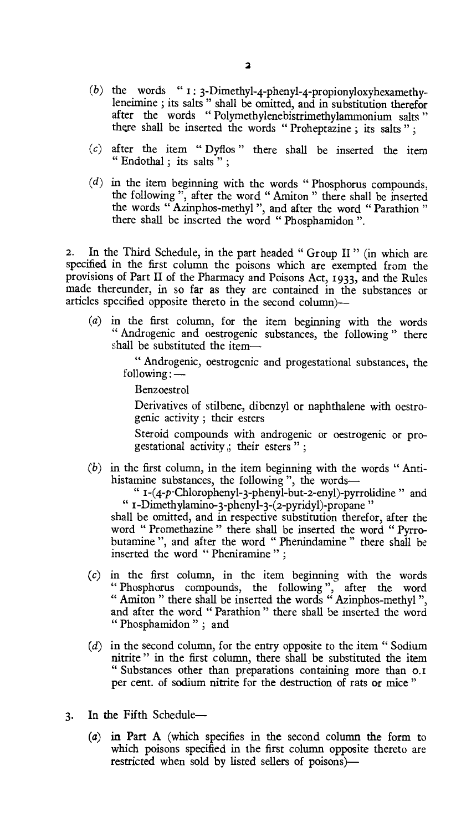- (b) the words " $I: 3$ -Dimethyl-4-phenyl-4-propionyloxyhexamethyleneimine ; its salts " shall be omitted, and in substitution therefor after the words " Polymethylenebistrimethylammonium salts " there shall be inserted the words " Proheptazine ; its salts " ;
- $(c)$  after the item " Dyflos" there shall be inserted the item " Endothal; its salts";
- $(d)$  in the item beginning with the words "Phosphorus compounds, the following ", after the word " Amiton " there shall be inserted the words " Azinphos-methyl", and after the word " Parathion " there shall be inserted the word " Phosphamidon ".

**2.** In the Third Schedule, in the part headed " Group II " (in which are specified in the first column the poisons which are exempted from the provisions of Part II of the Pharmacy and Poisons Act, 1933, and the Rules made thereunder, in so far as they are contained in the substances or articles specified opposite thereto in the second column)—

*(a) in* the first column, for the item beginning with the words " Androgenic and oestrogenic substances, the following " there shall be substituted the item-

> " Androgenic, oestrogenic and progestational substances, the following : —

Benzoestrol

Derivatives of stilbene, dibenzyl or naphthalene with oestrogenic activity ; their esters

Steroid compounds with androgenic or oestrogenic or progestational activity  $\beta$ ; their esters ";

(b) in the first column, in the item beginning with the words " Antihistamine substances, the following ", the words-

" i-(4-p-Chloropheny1-3-phenyl-but-2-eny1)-pyrrolidine " and " I-Dimethylamino-3-phenyl-3-(2-pyridy1)-propane "

shall be omitted, and in respective substitution therefor, after the word " Promethazine " there shall be inserted the word " Pyrrobutamine ", and after the word " Phenindamine " there shall be inserted the word " Pheniramine " ;

- (c) in the first column, in the item beginning with the words " Phosphorus compounds, the following ", after the word " Amiton " there shall be inserted the words " Azinphos-methyl ", and after the word " Parathion " there shall be inserted the word " Phosphamidon" ; and
- (d) in the second column, for the entry opposite to the item " Sodium nitrite " in the first column, there shall be substituted the item " Substances other than preparations containing more than o. i per cent. of sodium nitrite for the destruction of rats or mice "
- 3. In the Fifth Schedule—
	- (a) in Part A (which specifies in the second column the form to which poisons specified in the first column opposite thereto *are*  restricted when sold by listed sellers of poisons)—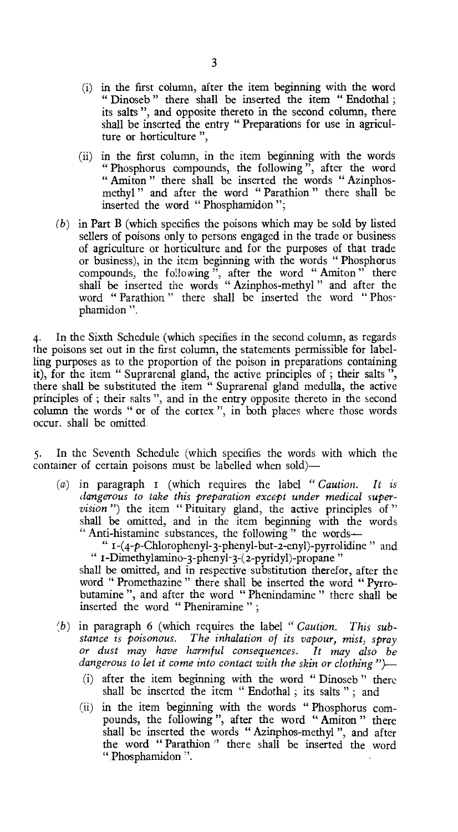- (i) in the first column, after the item beginning with the word " Dinoseb" there shall be inserted the item " Endothal; its salts ", and opposite thereto in the second column, there shall be inserted the entry " Preparations for use in agriculture or horticulture ",
- (ii) in the first column, in the item beginning with the words " Phosphorus compounds, the following ", after the word " Amiton " there shall be inserted the words " Azinphosmethyl " and after the word " Parathion " there shall be inserted the word " Phosphamidon ";
- *(b)* in Part B (which specifies the poisons which may be sold by listed sellers of poisons only to persons engaged in the trade or business of agriculture or horticulture and for the purposes of that trade or business), in the item beginning with the words " Phosphorus compounds, the following", after the word "Amiton" there shall be inserted the words " Azinphos-methyl " and after the word " Parathion " there shall be inserted the word " Phosphamidon ".

4. In the Sixth Schedule (which specifies in the second column, as regards the poisons set out in the first column, the statements permissible for labelling purposes as to the proportion of the poison in preparations containing it), for the item " Suprarenal gland, the active principles of ; their salts ", there shall be substituted the item " Suprarenal gland medulla, the active principles of ; their salts ", and in the entry opposite thereto in the second column the words " or of the cortex ", in both places where those words occur. shall be omitted

5. In the Seventh Schedule (which specifies the words with which the container of certain poisons must be labelled when sold)—

*(a)* in paragraph r (which requires the label *" Caution. It is dangerous to take this preparation except under medical supervision*") the item "Pituitary gland, the active principles of" shall be omitted, and in the item beginning with the words " Anti-histamine substances, the following " the words-

"  $I-(4-p-Chlorophenyl-3-phenyl-but-2-enyl)-pyrrolidine$ " and " r-Dimethylamino-3-phenyl-3-(2-pyridy1)-propane "

shall be omitted, and in respective substitution therefor, after the word " Promethazine " there shall be inserted the word " Pyrrobutamine ", and after the word " Phenindamine " there shall be inserted the word " Pheniramine " ;

- (b) in paragraph 6 (which requires the label " *Caution*. This sub*stance is poisonous. The inhalation of its vapour, mist, spray or dust may have harmful consequences. It may also be dangerous to let it come into contact with the skin or clothing ")—* 
	- (i) after the item beginning with the word " Dinoseb " there shall be inserted the item " Endothal ; its salts " ; and
	- (ii) in the item beginning with the words " Phosphorus compounds, the following ", after the word " Amiton " there shall be inserted the words " Azinphos-methyl ", and after the word " Parathion " there shall be inserted the word " Phosphamidon ".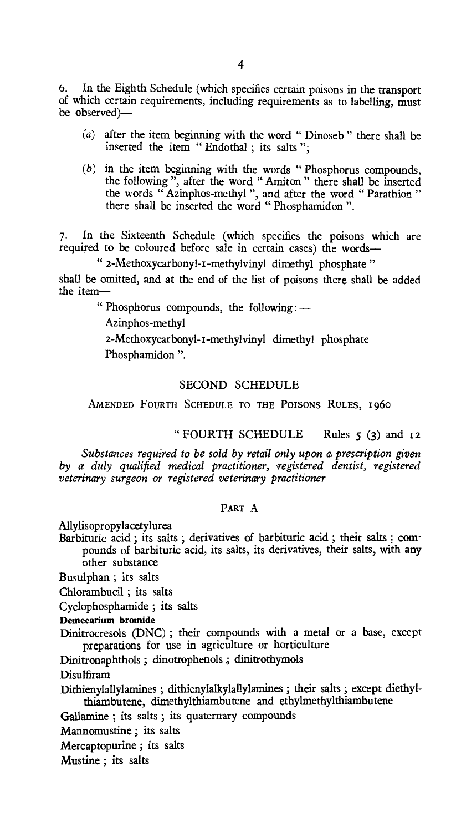**6.** in the Eighth Schedule (which specifies certain poisons in the transport of which certain requirements, including requirements as to labelling, must be observed)—

- (a) after the item beginning with the word " Dinoseb " there shall be inserted the item " Endothal ; its salts ";
- (b) in the item beginning with the words " Phosphorus compounds, the following ", after the word " Amiton " there shall be inserted the words " Azinphos-methyl ", and after the word " Parathion " there shall be inserted the word " Phosphamidon ".

7. In the Sixteenth Schedule (which specifies the poisons which are required to be coloured before sale in certain cases) the words-

" 2-Methoxycarbonyl-I-methylvinyl dimethyl phosphate "

shall be omitted, and at the end of the list of poisons there shall be added the item-

" Phosphorus compounds, the following: —

Azinphos-methyl

2-Methoxycarbonyl-I-methylvinyl dimethyl phosphate Phosphamidon ".

### SECOND SCHEDULE

AMENDED FOURTH SCHEDULE TO THE POISONS RULES, 1960

" FOURTH SCHEDULE Rules 5 (3) and 12

*Substances required to be sold by retail only upon a prescription given by a duly qualified medical practitioner, registered dentist, registered veterinary surgeon or registered veterinary practitioner* 

### **PART** A

Allylisopropylacetylurea

Barbituric acid ; its salts ; derivatives of barbituric acid ; their salts ; compounds of barbituric acid, its salts, its derivatives, their salts, with any other substance

Busulphan ; its salts

Chlorambucil ; its salts

Cyclophosphamide ; its salts

**Demecarium bromide** 

Dinitrocresols (DNC) ; their compounds with a metal or a base, except preparations for use in agriculture or horticulture

Dinitronaphthols ; dinotrophenols ; dinitrothymols

Disulfiram

Dithienylallylamines ; dithienylalkylallylamines ; their salts ; except diethylthiambutene, dimethylthiambutene and ethylmethylthiambutene

Gallamine ; its salts ; its quaternary compounds

Mannomustine ; its salts

Mercaptopurine ; its salts

Mustine ; its salts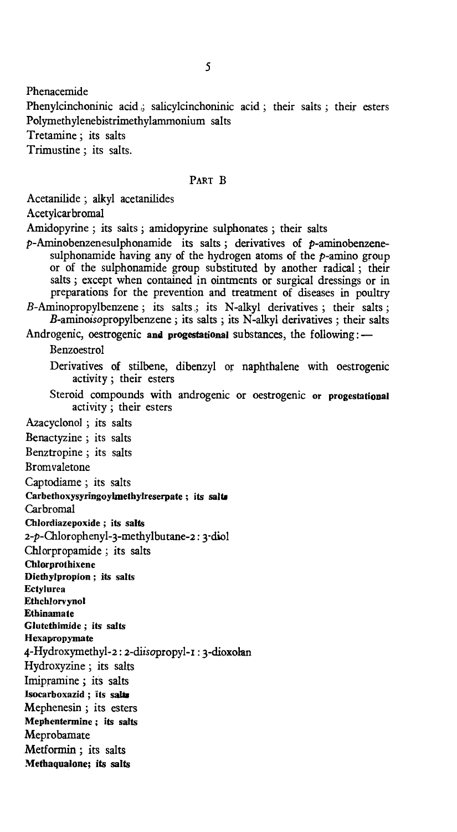Phenacemide

Phenylcinchoninic acid , salicylcinchoninic acid ; their salts ; their esters Polymethylenebistrimethylammonium salts

Tretamine ; its salts

Trimustine ; its salts.

#### PART B

Acetanilide ; alkyl acetanilides

Acetylcarbromal

Amidopyrine ; its salts ; amidopyrine sulphonates ; their salts

 $p$ -Aminobenzenesulphonamide its salts; derivatives of  $p$ -aminobenzenesulphonamide having any of the hydrogen atoms of the  $p$ -amino group or of the sulphonamide group substituted by another radical ; their salts ; except when contained in ointments or surgical dressings or in preparations for the prevention and treatment of diseases in poultry B-Aminopropylbenzene; its salts; its N-alkyl derivatives; their salts;

B-aminoisopropylbenzene ; its salts ; its N-alkyl derivatives ; their salts

Androgenic, oestrogenic **and progestational** substances, the following: —

Benzoestrol

Derivatives of stilbene, dibenzyl or naphthalene with oestrogenic activity ; their esters

Steroid compounds with androgenic or oestrogenic **or progestational**  activity ; their esters

Azacyclonol ; its salts

Benactyzine ; its salts

Benztropine ; its salts

Bromvaletone

Captodiame ; its salts

Carbethoxysyringoylmethylreserpate ; its salta

Carbromal

**Chlordiazepoxide ; its salts** 

2-p-Chloropheny1-3-methylbutane-2: 3-diol

Chlorpropamide ; its salts

**Chlorprothixene** 

**Diethylpropion ; its salts** 

**Ectylurea Ethchlorvynol** 

**Ethinamate** 

**Glutethimide ; its salts** 

**Hexapropymate** 

4-Hydroxymethy1-2: 2-dlisopropyl-I : 3-dioxolan

Hydroxyzine ; its salts

Imipramine ; its salts

**lsocarboxazid ; its salts** 

Mephenesin ; its esters

**Mephentennine ; its salts** 

Meprobamate

Metformin ; its salts

**Methaqualone; its salts**